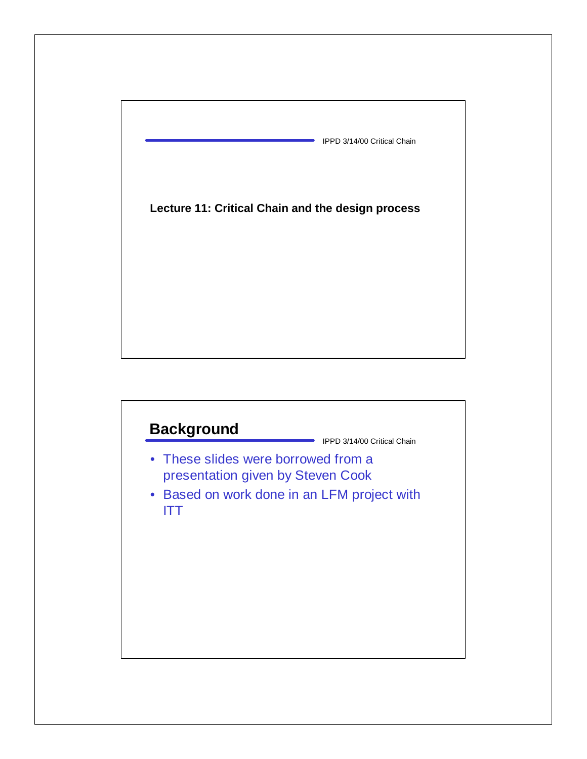

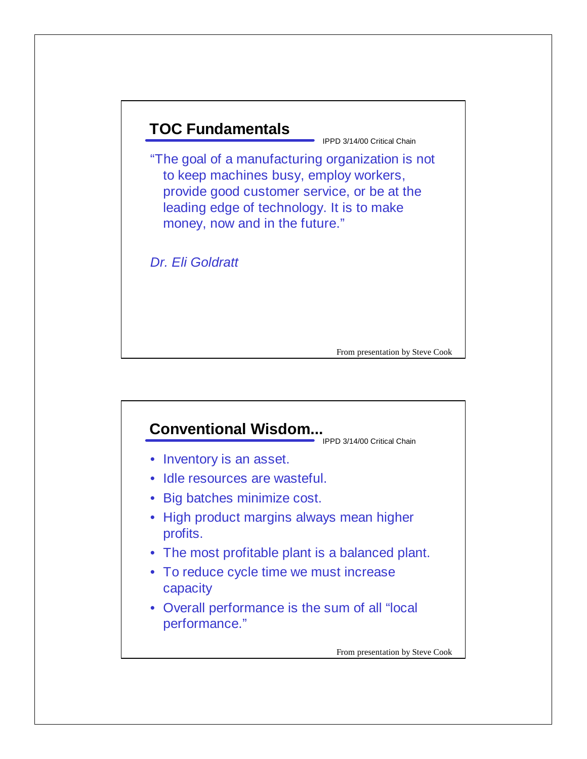

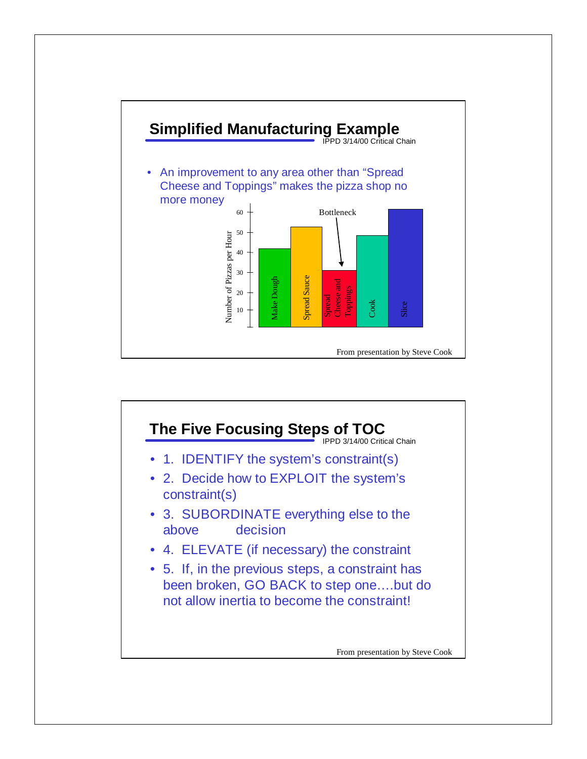

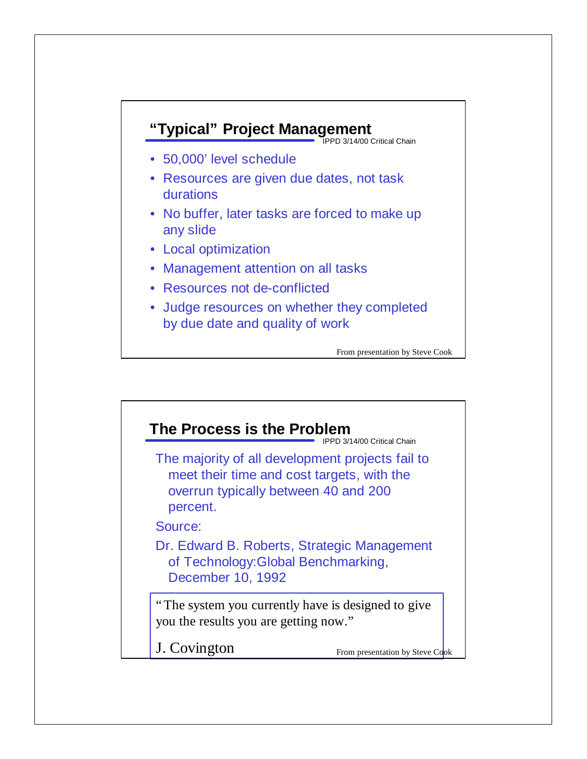

- 50,000' level schedule
- Resources are given due dates, not task durations
- No buffer, later tasks are forced to make up any slide
- Local optimization
- Management attention on all tasks
- Resources not de-conflicted
- Judge resources on whether they completed by due date and quality of work

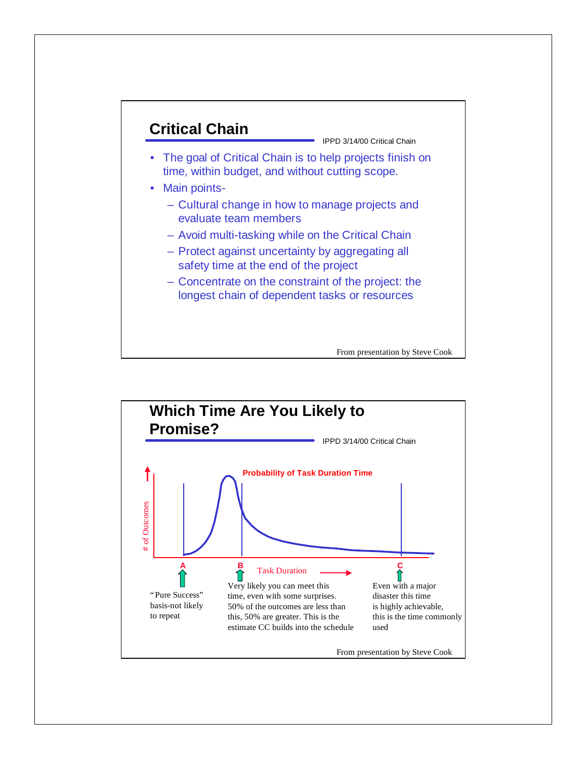

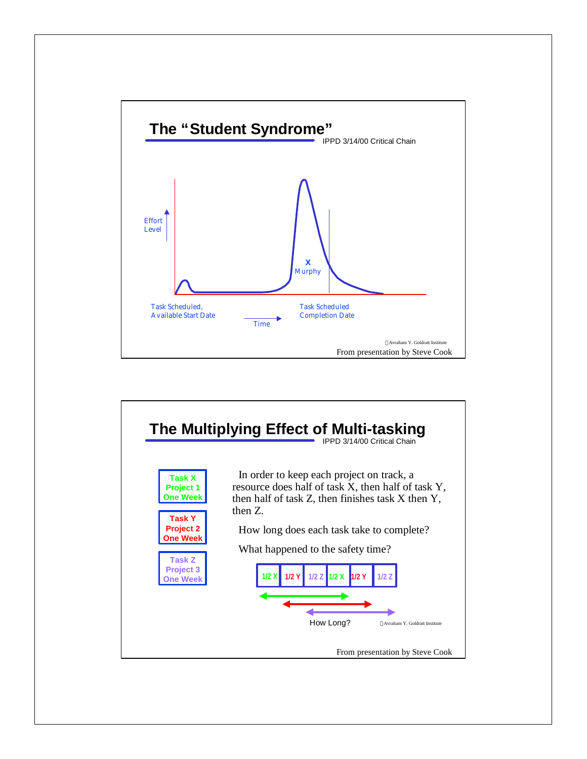

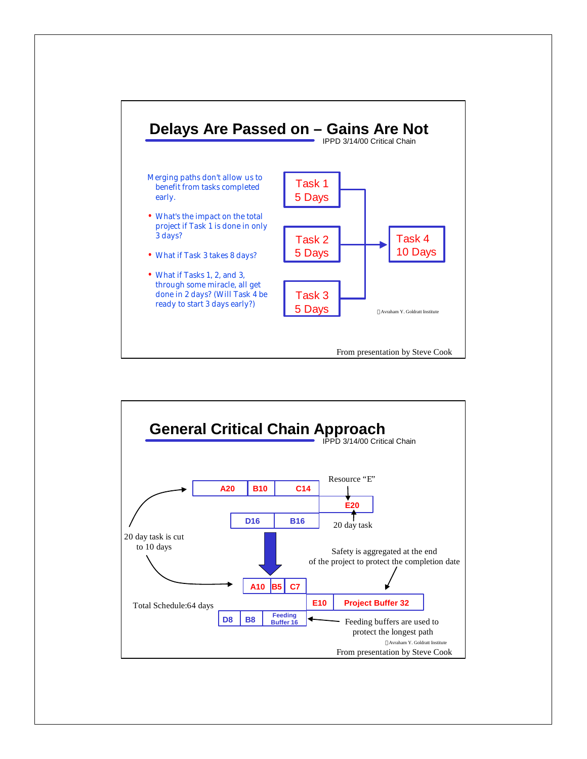

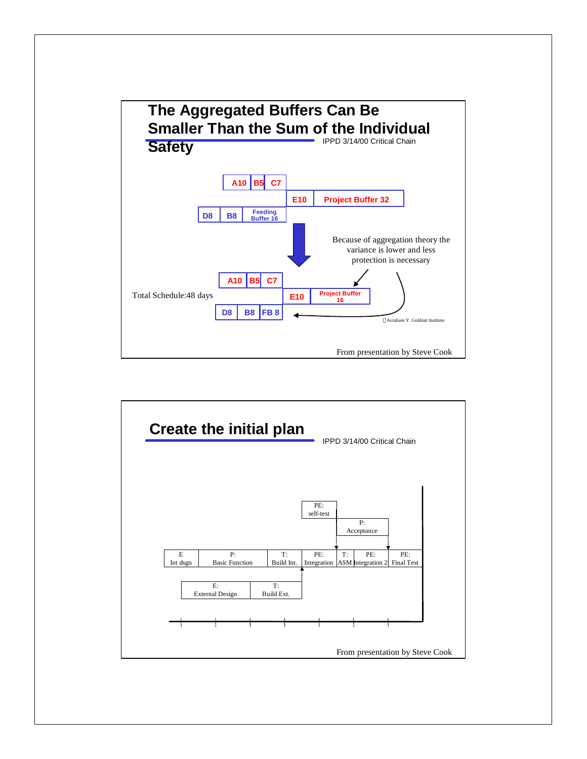

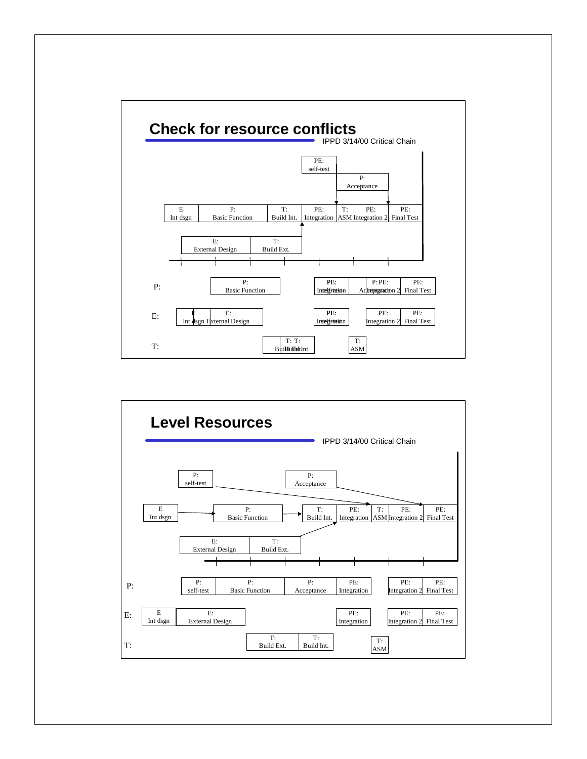

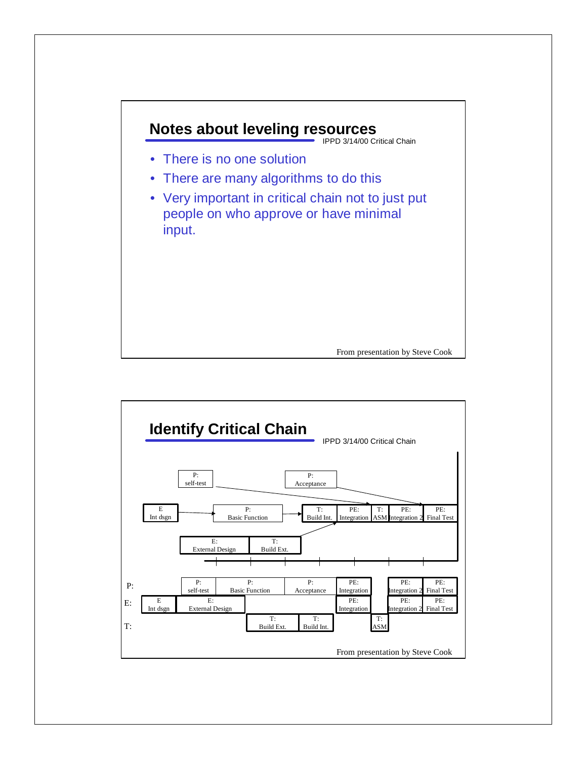

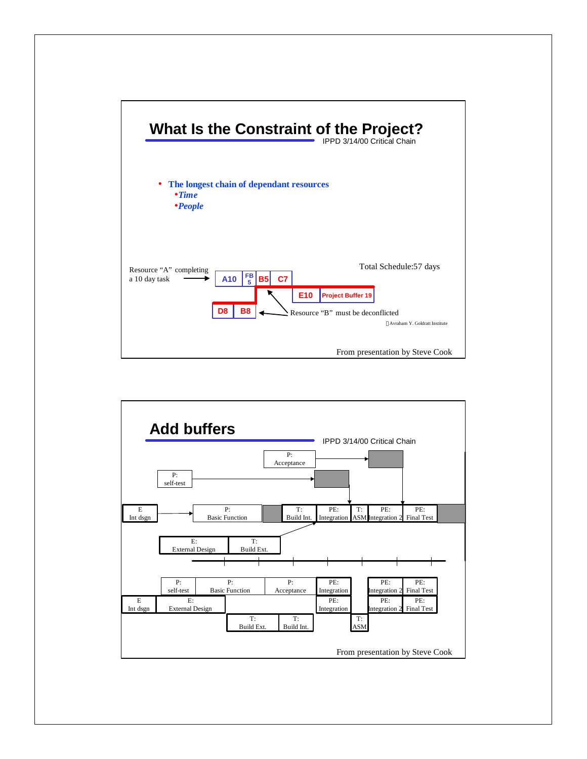

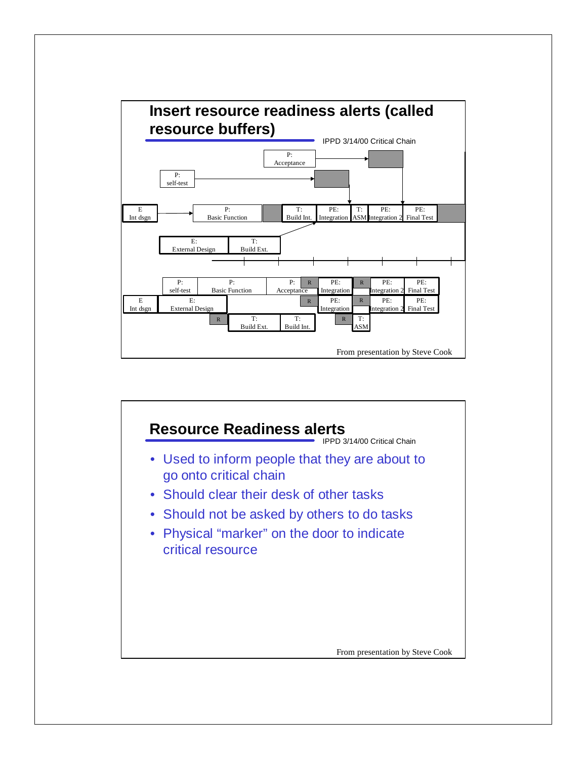

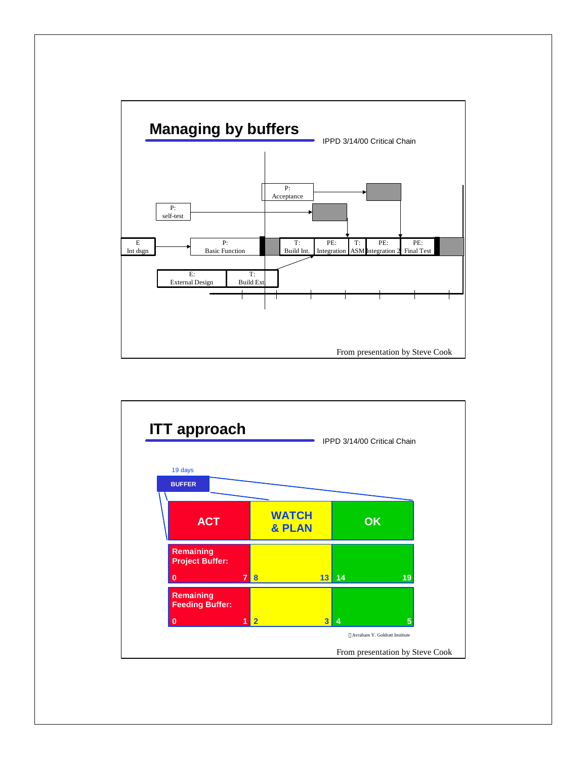

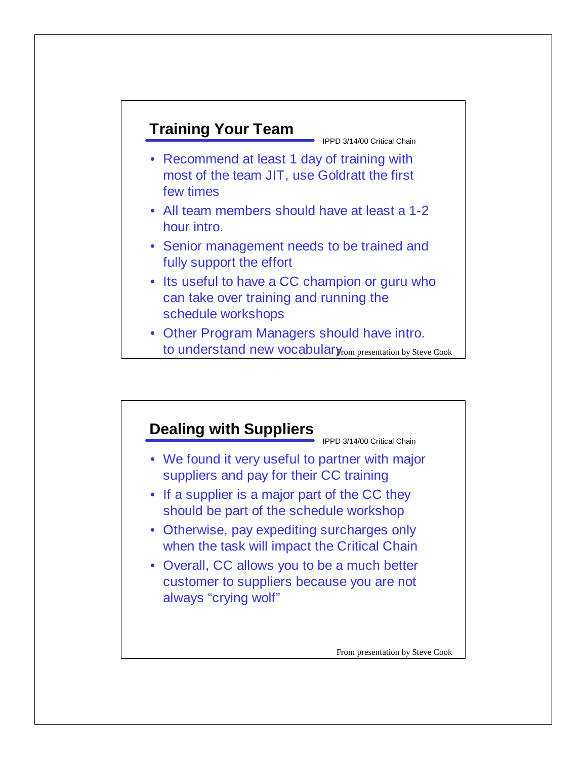## **Training Your Team**

IPPD 3/14/00 Critical Chain

- Recommend at least 1 day of training with most of the team JIT, use Goldratt the first few times
- All team members should have at least a 1-2 hour intro.
- Senior management needs to be trained and fully support the effort
- Its useful to have a CC champion or guru who can take over training and running the schedule workshops
- Other Program Managers should have intro. to understand new vocabulary<sub>rom presentation by Steve Cook</sub>

## **Dealing with Suppliers**

IPPD 3/14/00 Critical Chain

- We found it very useful to partner with major suppliers and pay for their CC training
- If a supplier is a major part of the CC they should be part of the schedule workshop
- Otherwise, pay expediting surcharges only when the task will impact the Critical Chain
- Overall, CC allows you to be a much better customer to suppliers because you are not always "crying wolf"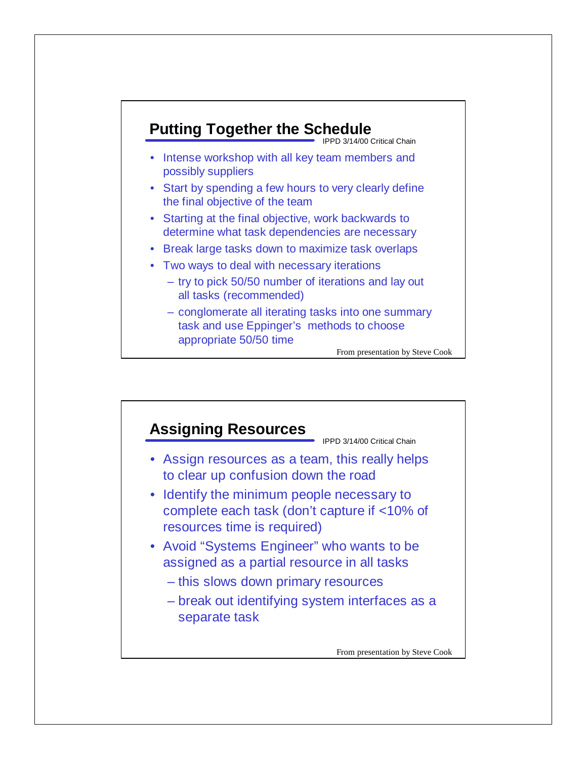

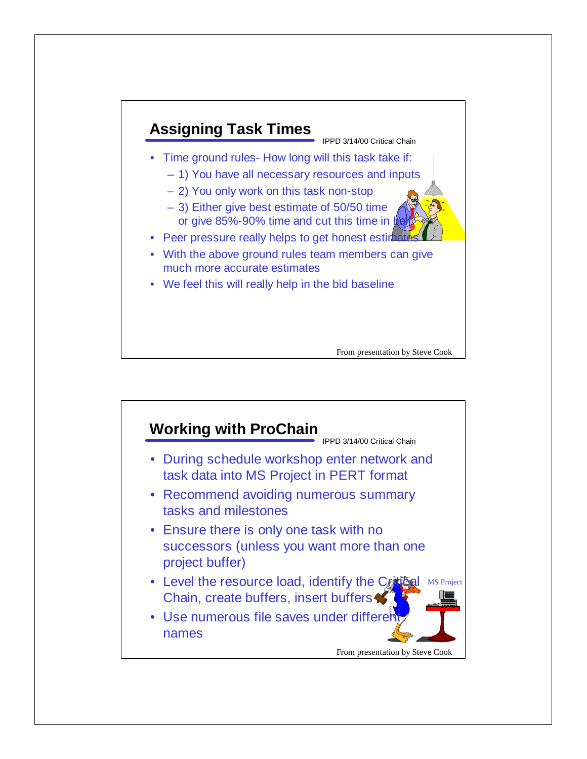

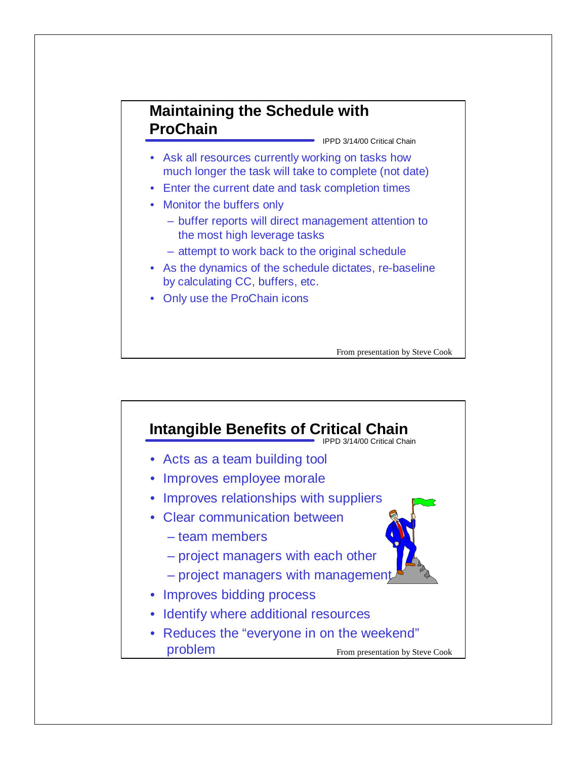## **Maintaining the Schedule with ProChain**

IPPD 3/14/00 Critical Chain

- Ask all resources currently working on tasks how much longer the task will take to complete (not date)
- Enter the current date and task completion times
- Monitor the buffers only
	- buffer reports will direct management attention to the most high leverage tasks
	- attempt to work back to the original schedule
- As the dynamics of the schedule dictates, re-baseline by calculating CC, buffers, etc.
- Only use the ProChain icons

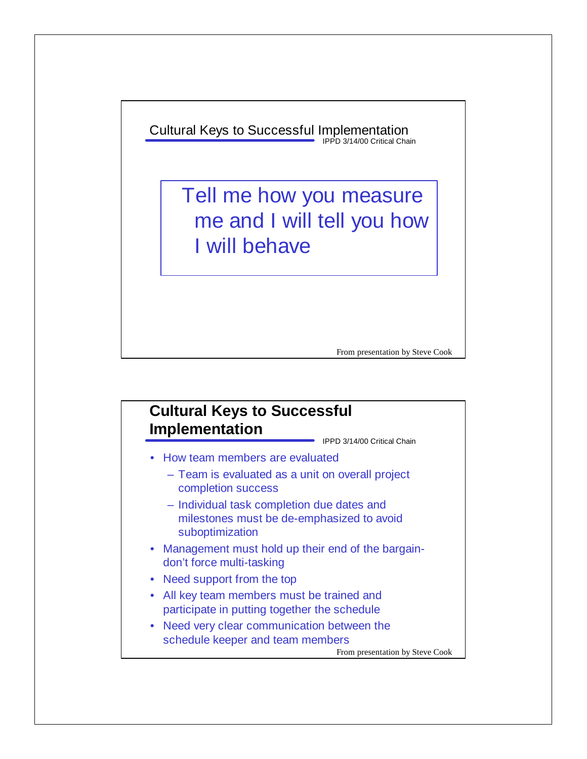IPPD 3/14/00 Critical Chain Cultural Keys to Successful Implementation

> Tell me how you measure me and I will tell you how I will behave

> > From presentation by Steve Cook

## **Cultural Keys to Successful Implementation**

IPPD 3/14/00 Critical Chain

- How team members are evaluated
	- Team is evaluated as a unit on overall project completion success
	- Individual task completion due dates and milestones must be de-emphasized to avoid suboptimization
- Management must hold up their end of the bargaindon't force multi-tasking
- Need support from the top
- All key team members must be trained and participate in putting together the schedule
- Need very clear communication between the schedule keeper and team members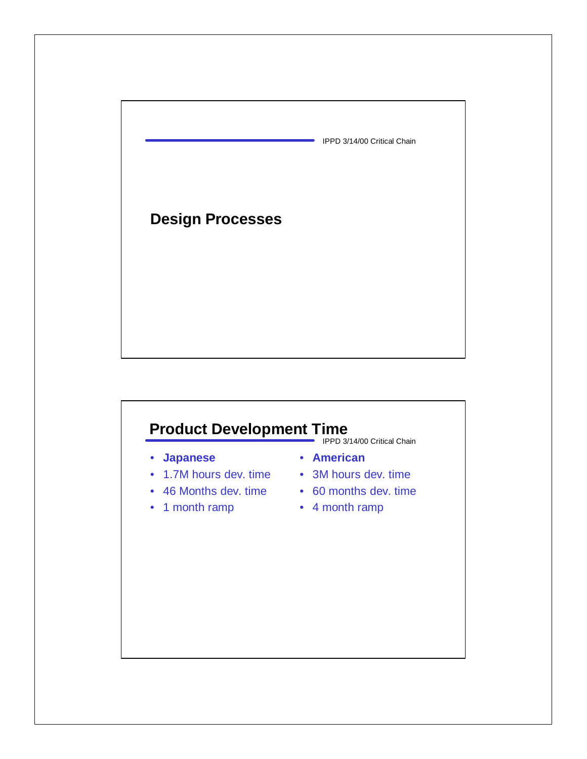

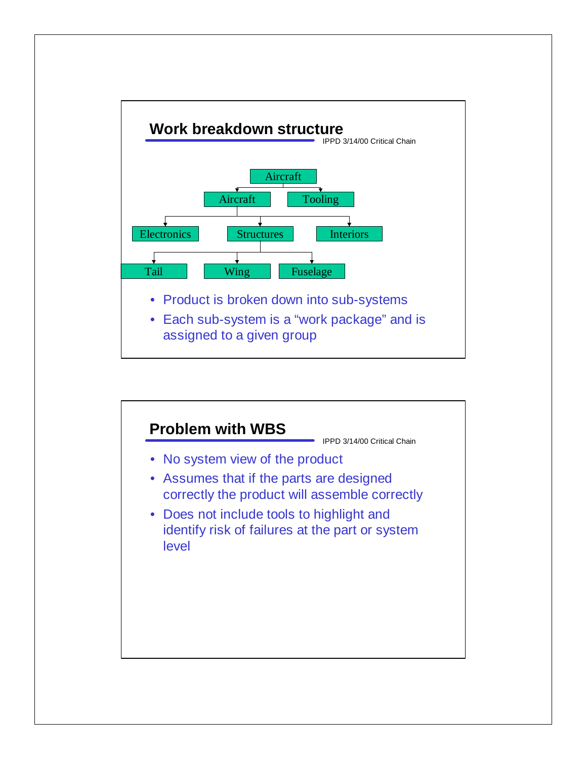

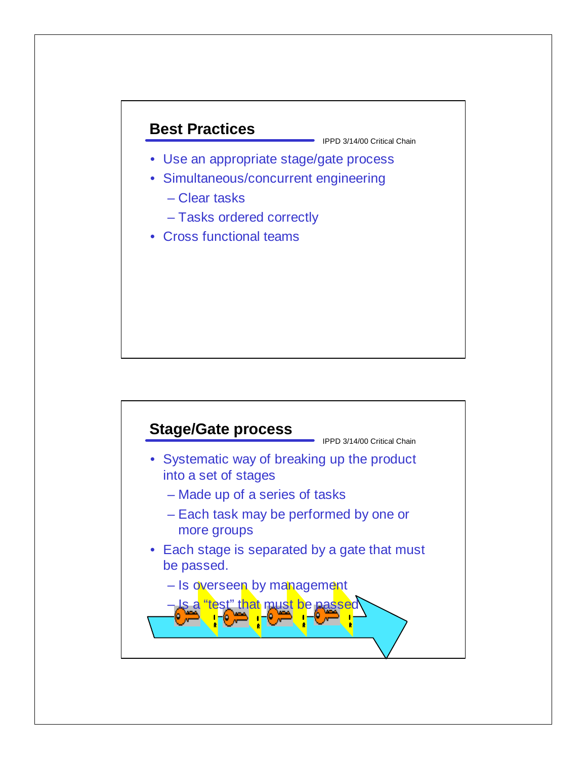## **Best Practices**

- Use an appropriate stage/gate process
- Simultaneous/concurrent engineering
	- Clear tasks
	- Tasks ordered correctly
- Cross functional teams

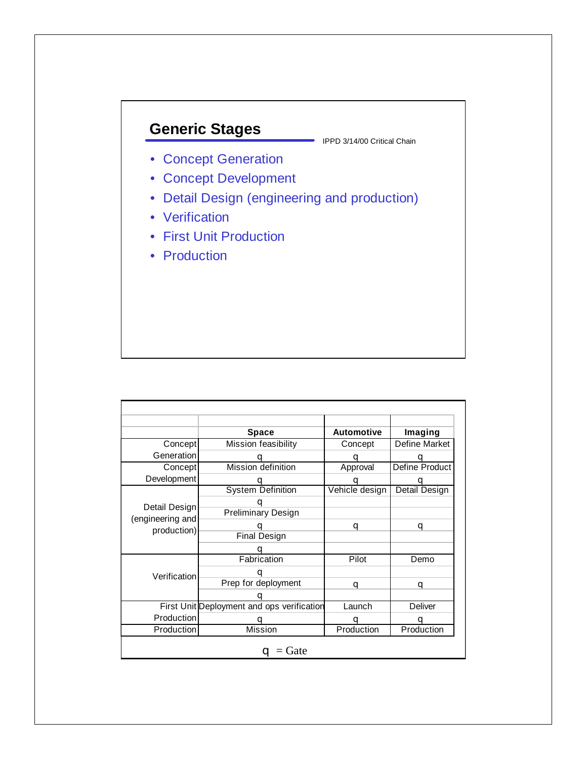# **Generic Stages**

- Concept Generation
- Concept Development
- Detail Design (engineering and production)
- Verification
- First Unit Production
- Production

|                                                  | <b>Space</b>                               | <b>Automotive</b> | Imaging        |
|--------------------------------------------------|--------------------------------------------|-------------------|----------------|
| Concept                                          | Mission feasibility                        | Concept           | Define Market  |
| Generation                                       |                                            |                   |                |
| Concept                                          | Mission definition                         | Approval          | Define Product |
| Development                                      |                                            |                   |                |
|                                                  | <b>System Definition</b>                   | Vehicle design    | Detail Design  |
| Detail Design<br>(engineering and<br>production) | <b>Preliminary Design</b>                  |                   |                |
|                                                  |                                            | q                 | q              |
|                                                  | <b>Final Design</b>                        |                   |                |
|                                                  |                                            |                   |                |
|                                                  | Fabrication                                | Pilot             | Demo           |
| Verification                                     | Prep for deployment                        | a                 | q              |
|                                                  | First Unit Deployment and ops verification | Launch            | Deliver        |
| Production                                       |                                            |                   |                |
| Production                                       | Mission                                    | Production        | Production     |
|                                                  | Gate<br>a                                  |                   |                |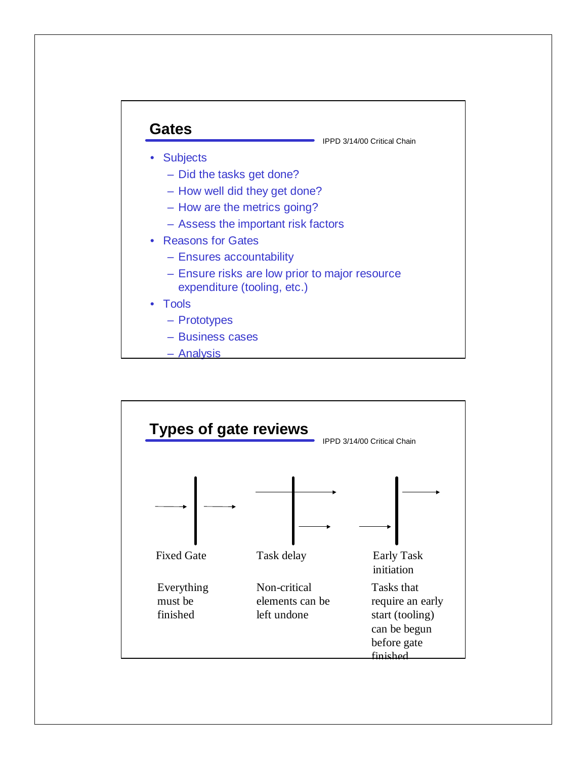

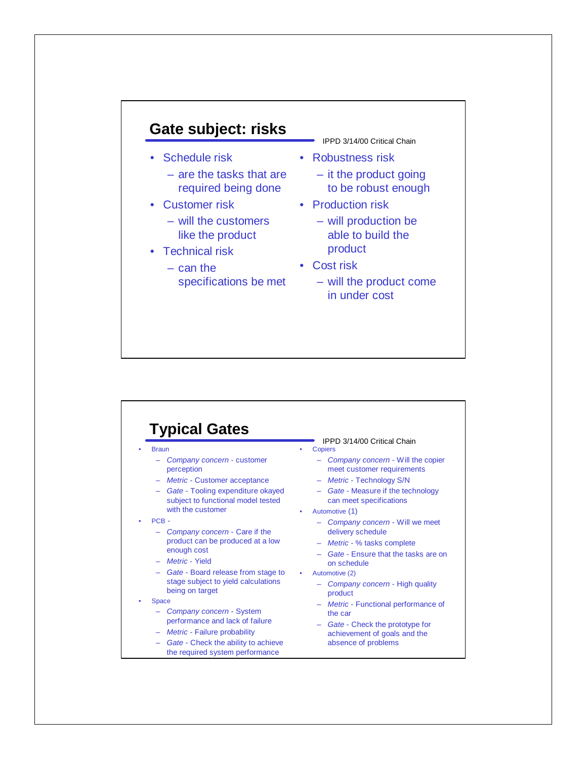## **Gate subject: risks**

- Schedule risk
	- are the tasks that are required being done
- Customer risk
	- will the customers like the product
- Technical risk
	- can the specifications be met
- IPPD 3/14/00 Critical Chain
- Robustness risk
	- it the product going to be robust enough
- Production risk
	- will production be able to build the product
- Cost risk
	- will the product come in under cost

## **Typical Gates**

- Braun
	- *Company concern* customer perception
	- *Metric* Customer acceptance
	- *Gate* Tooling expenditure okayed subject to functional model tested with the customer
- PCB
	- *Company concern* Care if the product can be produced at a low enough cost
	- *Metric* Yield
	- *Gate* Board release from stage to stage subject to yield calculations being on target
- **Space** 
	- *Company concern* System performance and lack of failure
	- *Metric* Failure probability
	- *Gate* Check the ability to achieve the required system performance
- IPPD 3/14/00 Critical Chain • Copiers
	- *Company concern* Will the copier meet customer requirements
	- *Metric* Technology S/N
	- *Gate* Measure if the technology can meet specifications
- Automotive (1)
	- *Company concern* Will we meet delivery schedule
	- *Metric* % tasks complete
	- *Gate* Ensure that the tasks are on on schedule
- Automotive (2)
	- *Company concern* High quality product
	- *Metric* Functional performance of the car
	- *Gate* Check the prototype for achievement of goals and the absence of problems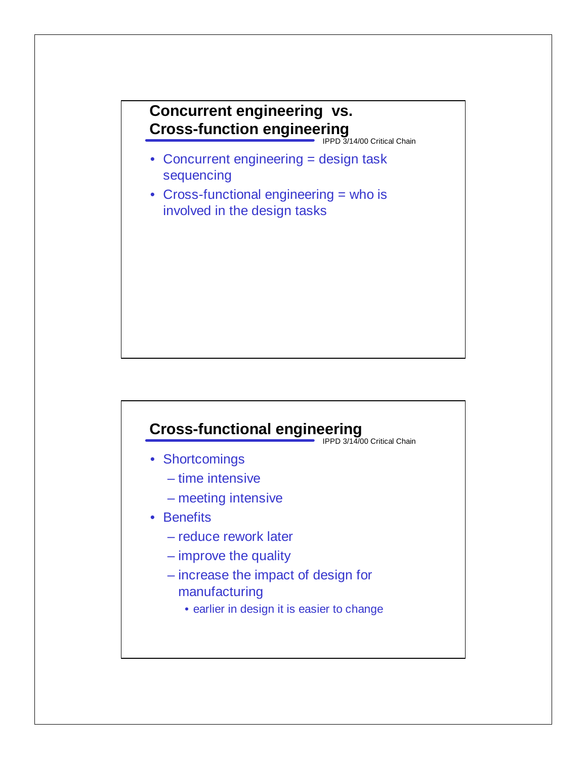## **Concurrent engineering vs. Cross-function engineering**

IPPD 3/14/00 Critical Chain

- Concurrent engineering = design task sequencing
- Cross-functional engineering = who is involved in the design tasks

# **Cross-functional engineering**

IPPD 3/14/00 Critical Chain

- Shortcomings
	- time intensive
	- meeting intensive

## • Benefits

- reduce rework later
- improve the quality
- increase the impact of design for manufacturing
	- earlier in design it is easier to change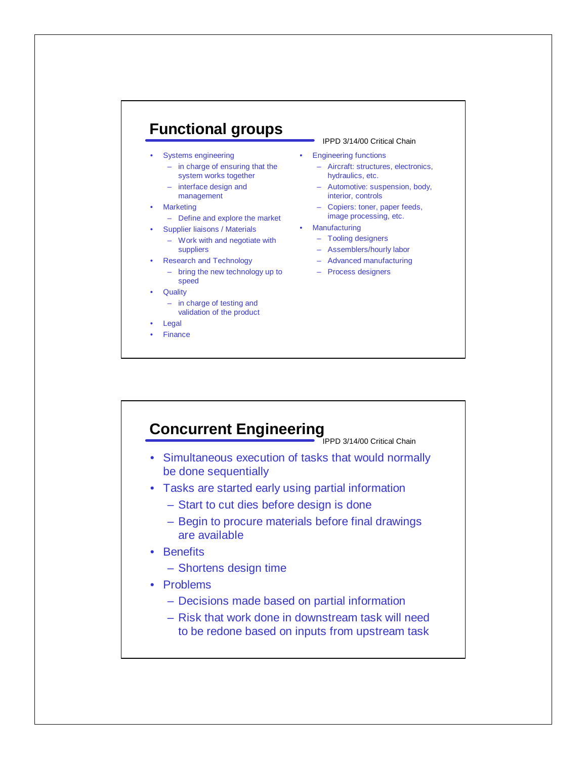## **Functional groups**

- Systems engineering
	- in charge of ensuring that the system works together
	- interface design and management
- Marketing
	- Define and explore the market
- Supplier liaisons / Materials Manufacturing
	- Work with and negotiate with suppliers
- Research and Technology
	- bring the new technology up to speed
- Quality
	- in charge of testing and validation of the product
- **Legal**
- **Finance**

#### IPPD 3/14/00 Critical Chain

- Engineering functions
	- Aircraft: structures, electronics, hydraulics, etc.
	- Automotive: suspension, body, interior, controls
	- Copiers: toner, paper feeds, image processing, etc.
- 
- Tooling designers
	- Assemblers/hourly labor
	- Advanced manufacturing
	- Process designers

## **Concurrent Engineering**

- Simultaneous execution of tasks that would normally be done sequentially
- Tasks are started early using partial information
	- Start to cut dies before design is done
	- Begin to procure materials before final drawings are available
- Benefits
	- Shortens design time
- Problems
	- Decisions made based on partial information
	- Risk that work done in downstream task will need to be redone based on inputs from upstream task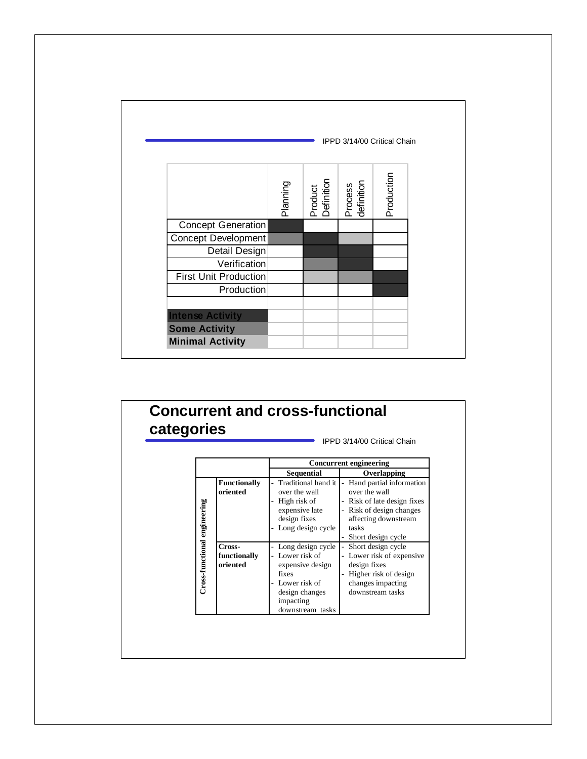|                              |          |                       | IPPD 3/14/00 Critical Chain |            |
|------------------------------|----------|-----------------------|-----------------------------|------------|
|                              | Dinutelc | Product<br>Definition | Process<br>definition       | Production |
| Concept Generation           |          |                       |                             |            |
| Concept Development          |          |                       |                             |            |
| Detail Design                |          |                       |                             |            |
| Verification                 |          |                       |                             |            |
| <b>First Unit Production</b> |          |                       |                             |            |
| Production                   |          |                       |                             |            |
| <b>Intense Activity</b>      |          |                       |                             |            |
| <b>Some Activity</b>         |          |                       |                             |            |
| <b>Minimal Activity</b>      |          |                       |                             |            |

#### **Concurrent and cross-functional categories** IPPD 3/14/00 Critical Chain **Concurrent engineering Sequential Overlapping Functionally** Traditional hand it - Hand partial information **oriented** over the wall over the wall High risk of Risk of late design fixes Cross-functional engineering **Cross-functional engineering** expensive late Risk of design changes design fixes affecting downstream Long design cycle tasks Short design cycle **Cross-**Long design cycle Short design cycle **functionally** Lower risk of Lower risk of expensive **oriented** expensive design design fixes fixes Higher risk of design Lower risk of changes impacting design changes downstream tasksimpacting downstream tasks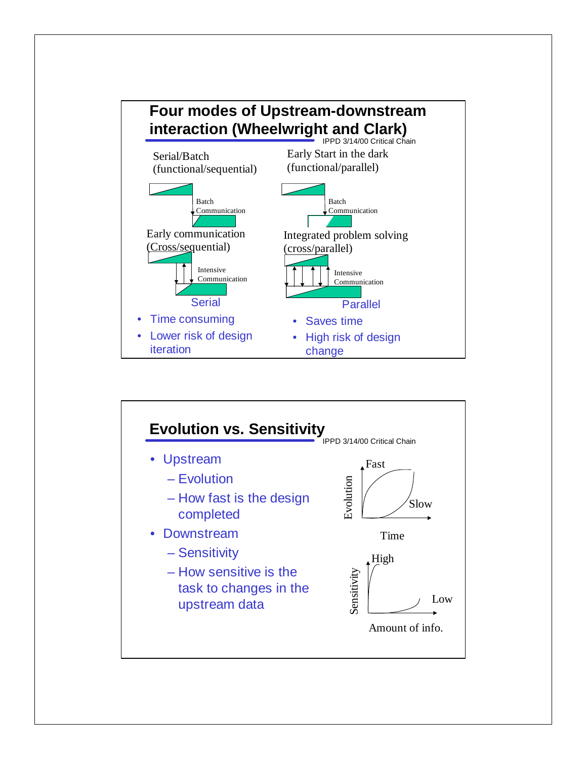

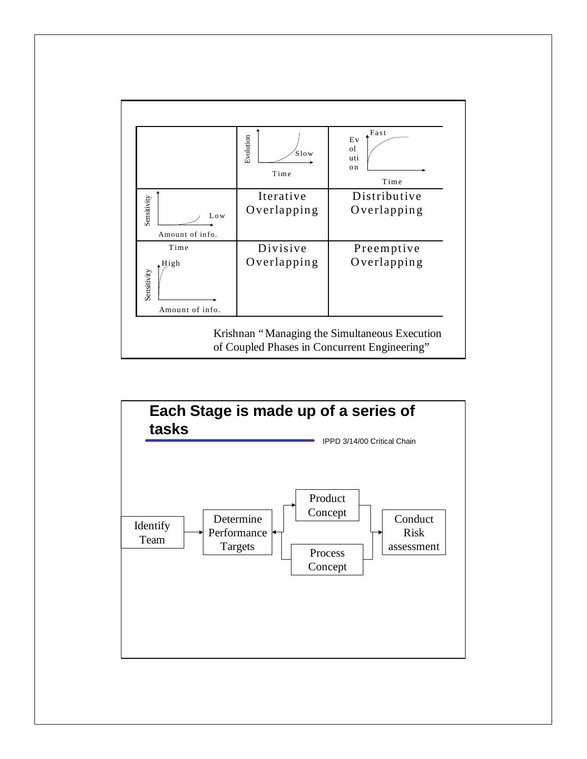

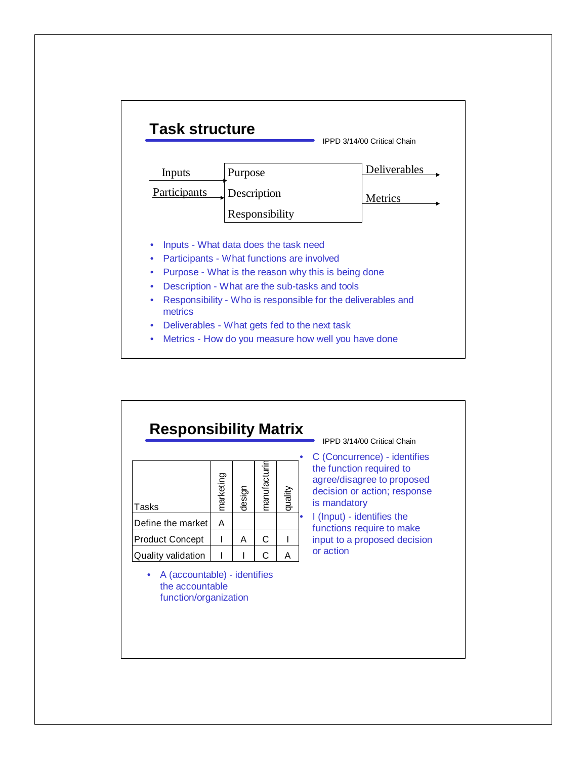

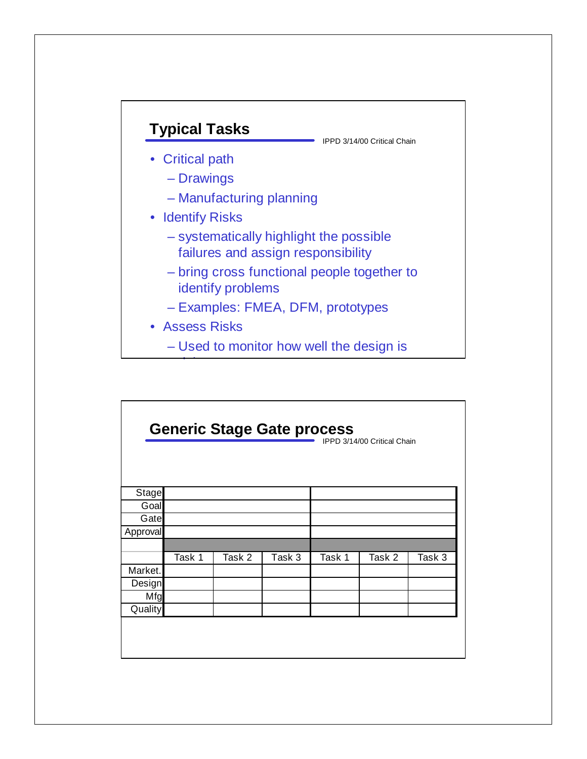

| <b>Generic Stage Gate process</b> |        |        |        |        |                             |        |
|-----------------------------------|--------|--------|--------|--------|-----------------------------|--------|
|                                   |        |        |        |        | IPPD 3/14/00 Critical Chain |        |
|                                   |        |        |        |        |                             |        |
|                                   |        |        |        |        |                             |        |
| <b>Stage</b>                      |        |        |        |        |                             |        |
| Goal                              |        |        |        |        |                             |        |
| Gate                              |        |        |        |        |                             |        |
| Approval                          |        |        |        |        |                             |        |
|                                   |        |        |        |        |                             |        |
|                                   | Task 1 | Task 2 | Task 3 | Task 1 | Task 2                      | Task 3 |
| Market.                           |        |        |        |        |                             |        |
| Design                            |        |        |        |        |                             |        |
| Mfg                               |        |        |        |        |                             |        |
| Quality                           |        |        |        |        |                             |        |
|                                   |        |        |        |        |                             |        |
|                                   |        |        |        |        |                             |        |
|                                   |        |        |        |        |                             |        |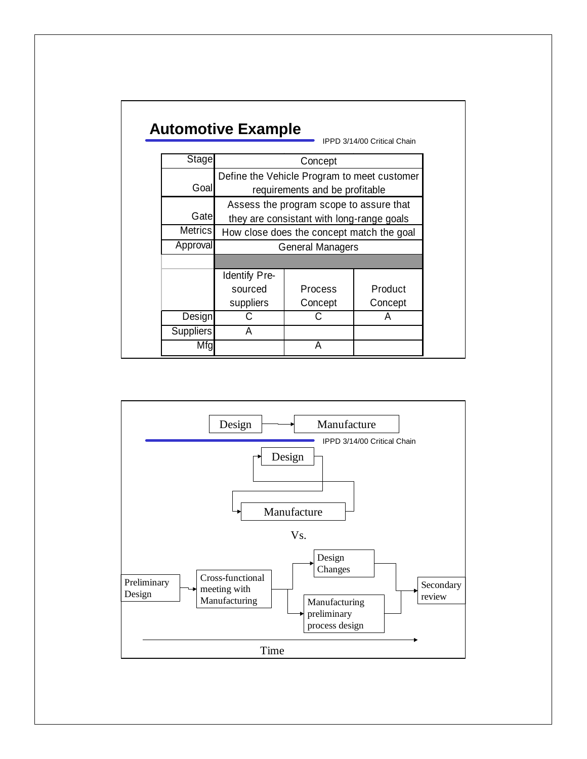# **Automotive Example**

| Stage            | Concept                                     |                |         |  |
|------------------|---------------------------------------------|----------------|---------|--|
|                  | Define the Vehicle Program to meet customer |                |         |  |
| Goal             | requirements and be profitable              |                |         |  |
|                  | Assess the program scope to assure that     |                |         |  |
| Gatel            | they are consistant with long-range goals   |                |         |  |
| <b>Metrics</b>   | How close does the concept match the goal   |                |         |  |
| Approval         | <b>General Managers</b>                     |                |         |  |
|                  |                                             |                |         |  |
|                  | Identify Pre-                               |                |         |  |
|                  | sourced                                     | <b>Process</b> | Product |  |
|                  | suppliers                                   | Concept        | Concept |  |
| Design           |                                             |                | A       |  |
| <b>Suppliers</b> | А                                           |                |         |  |
| Mta              |                                             |                |         |  |